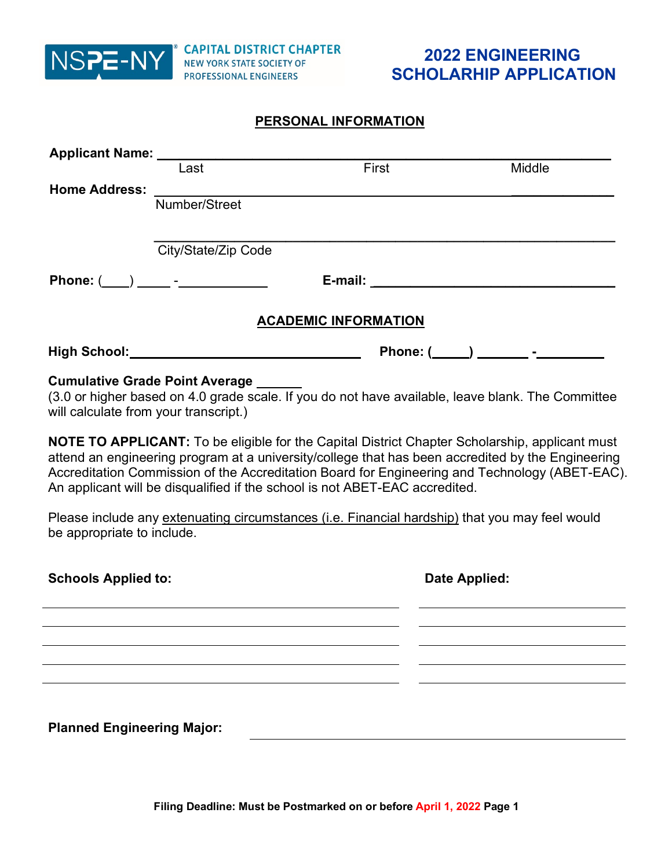

### **PERSONAL INFORMATION**

|                                   | Last                                                                                                                                                                                                                                                                                                                                                                                        | First                       |  | Middle                               |
|-----------------------------------|---------------------------------------------------------------------------------------------------------------------------------------------------------------------------------------------------------------------------------------------------------------------------------------------------------------------------------------------------------------------------------------------|-----------------------------|--|--------------------------------------|
| <b>Home Address:</b>              |                                                                                                                                                                                                                                                                                                                                                                                             |                             |  |                                      |
|                                   | Number/Street                                                                                                                                                                                                                                                                                                                                                                               |                             |  |                                      |
|                                   |                                                                                                                                                                                                                                                                                                                                                                                             |                             |  |                                      |
|                                   | City/State/Zip Code                                                                                                                                                                                                                                                                                                                                                                         |                             |  |                                      |
|                                   |                                                                                                                                                                                                                                                                                                                                                                                             |                             |  |                                      |
|                                   |                                                                                                                                                                                                                                                                                                                                                                                             | <b>ACADEMIC INFORMATION</b> |  |                                      |
|                                   |                                                                                                                                                                                                                                                                                                                                                                                             |                             |  | Phone: (_____) _________ -__________ |
|                                   | <b>Cumulative Grade Point Average</b><br>(3.0 or higher based on 4.0 grade scale. If you do not have available, leave blank. The Committee<br>will calculate from your transcript.)                                                                                                                                                                                                         |                             |  |                                      |
|                                   | <b>NOTE TO APPLICANT:</b> To be eligible for the Capital District Chapter Scholarship, applicant must<br>attend an engineering program at a university/college that has been accredited by the Engineering<br>Accreditation Commission of the Accreditation Board for Engineering and Technology (ABET-EAC).<br>An applicant will be disqualified if the school is not ABET-EAC accredited. |                             |  |                                      |
| be appropriate to include.        | Please include any extenuating circumstances (i.e. Financial hardship) that you may feel would                                                                                                                                                                                                                                                                                              |                             |  |                                      |
| <b>Schools Applied to:</b>        |                                                                                                                                                                                                                                                                                                                                                                                             | Date Applied:               |  |                                      |
|                                   |                                                                                                                                                                                                                                                                                                                                                                                             |                             |  |                                      |
|                                   |                                                                                                                                                                                                                                                                                                                                                                                             |                             |  |                                      |
|                                   |                                                                                                                                                                                                                                                                                                                                                                                             |                             |  |                                      |
|                                   |                                                                                                                                                                                                                                                                                                                                                                                             |                             |  |                                      |
| <b>Planned Engineering Major:</b> |                                                                                                                                                                                                                                                                                                                                                                                             |                             |  |                                      |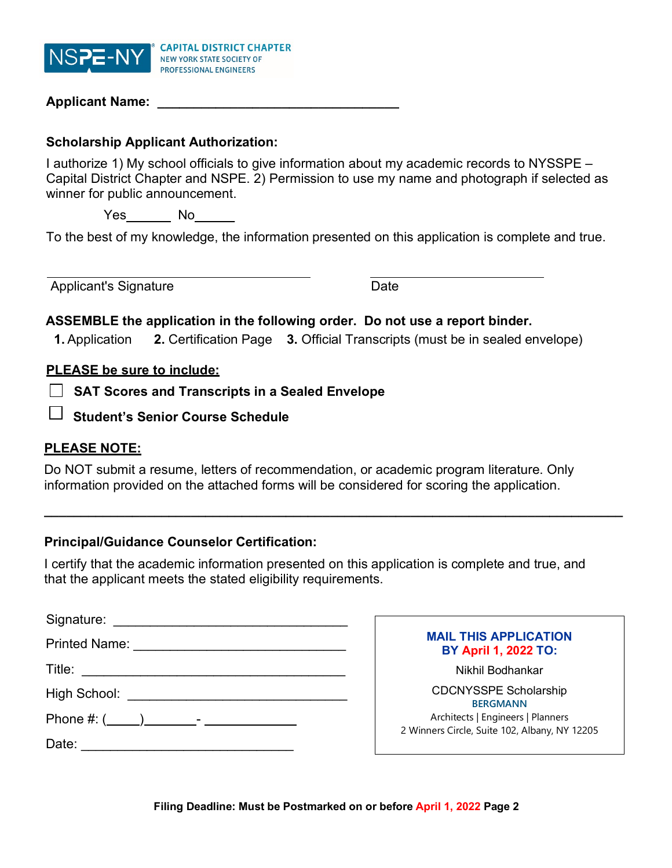

| <b>Applicant Name:</b> |  |
|------------------------|--|
|                        |  |

#### **Scholarship Applicant Authorization:**

I authorize 1) My school officials to give information about my academic records to NYSSPE – Capital District Chapter and NSPE. 2) Permission to use my name and photograph if selected as winner for public announcement.

Yes No \_\_\_\_\_

To the best of my knowledge, the information presented on this application is complete and true.

Applicant's Signature Date

# **ASSEMBLE the application in the following order. Do not use a report binder.**

**1.** Application **2.** Certification Page **3.** Official Transcripts (must be in sealed envelope)

#### **PLEASE be sure to include:**

**SAT Scores and Transcripts in a Sealed Envelope**

**Student's Senior Course Schedule** 

#### **PLEASE NOTE:**

Do NOT submit a resume, letters of recommendation, or academic program literature. Only information provided on the attached forms will be considered for scoring the application.

# **Principal/Guidance Counselor Certification:**

I certify that the academic information presented on this application is complete and true, and that the applicant meets the stated eligibility requirements.

**\_\_\_\_\_\_\_\_\_\_\_\_\_\_\_\_\_\_\_\_\_\_\_\_\_\_\_\_\_\_\_\_\_\_\_\_\_\_\_\_\_\_\_\_\_\_\_\_\_\_\_\_\_\_\_\_\_\_\_\_\_\_\_\_\_\_\_\_\_\_\_\_\_\_\_\_\_\_\_**

| Signature:    |                                                                                    |
|---------------|------------------------------------------------------------------------------------|
| Printed Name: | <b>MAIL THIS APPLICATION</b><br><b>BY April 1, 2022 TO:</b>                        |
| Title:        | Nikhil Bodhankar                                                                   |
| High School:  | <b>CDCNYSSPE Scholarship</b><br><b>BERGMANN</b>                                    |
|               | Architects   Engineers   Planners<br>2 Winners Circle, Suite 102, Albany, NY 12205 |
| Date:         |                                                                                    |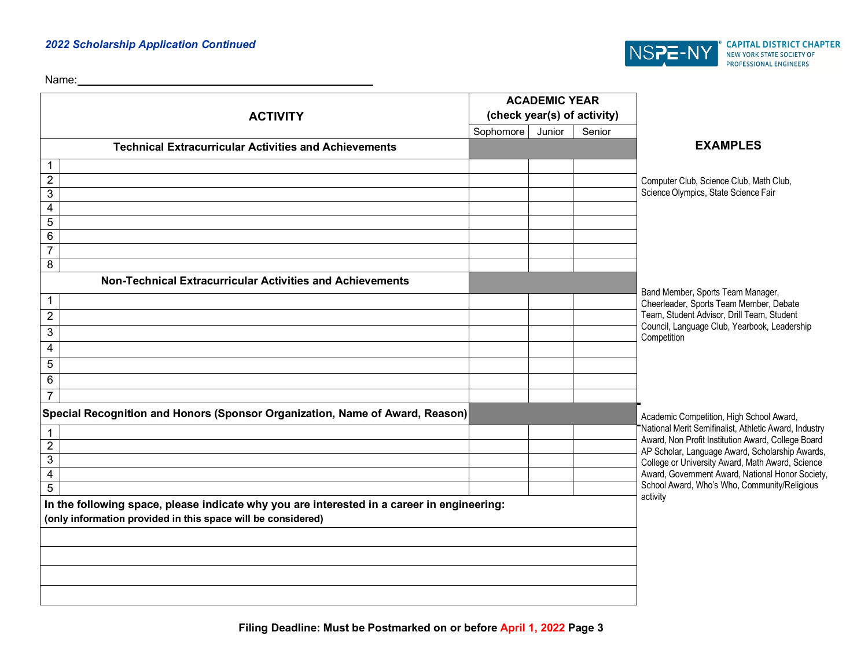#### *2022 Scholarship Application Continued*



Name:

| <b>ACTIVITY</b>                                                                                                                                            |           | <b>ACADEMIC YEAR</b> | (check year(s) of activity) |                                                                                                             |
|------------------------------------------------------------------------------------------------------------------------------------------------------------|-----------|----------------------|-----------------------------|-------------------------------------------------------------------------------------------------------------|
|                                                                                                                                                            | Sophomore | Junior               | Senior                      |                                                                                                             |
| <b>Technical Extracurricular Activities and Achievements</b>                                                                                               |           |                      |                             | <b>EXAMPLES</b>                                                                                             |
| 1                                                                                                                                                          |           |                      |                             |                                                                                                             |
| $\overline{c}$                                                                                                                                             |           |                      |                             | Computer Club, Science Club, Math Club,                                                                     |
| 3                                                                                                                                                          |           |                      |                             | Science Olympics, State Science Fair                                                                        |
| $\overline{\mathbf{4}}$                                                                                                                                    |           |                      |                             |                                                                                                             |
| 5                                                                                                                                                          |           |                      |                             |                                                                                                             |
| 6                                                                                                                                                          |           |                      |                             |                                                                                                             |
| $\overline{7}$<br>8                                                                                                                                        |           |                      |                             |                                                                                                             |
| Non-Technical Extracurricular Activities and Achievements                                                                                                  |           |                      |                             |                                                                                                             |
|                                                                                                                                                            |           |                      |                             | Band Member, Sports Team Manager,                                                                           |
| $\mathbf{1}$                                                                                                                                               |           |                      |                             | Cheerleader, Sports Team Member, Debate                                                                     |
| $\sqrt{2}$                                                                                                                                                 |           |                      |                             | Team, Student Advisor, Drill Team, Student<br>Council, Language Club, Yearbook, Leadership                  |
| 3                                                                                                                                                          |           |                      |                             | Competition                                                                                                 |
| 4                                                                                                                                                          |           |                      |                             |                                                                                                             |
| $\sqrt{5}$                                                                                                                                                 |           |                      |                             |                                                                                                             |
| 6                                                                                                                                                          |           |                      |                             |                                                                                                             |
| $\overline{7}$                                                                                                                                             |           |                      |                             |                                                                                                             |
| Special Recognition and Honors (Sponsor Organization, Name of Award, Reason)                                                                               |           |                      |                             | Academic Competition, High School Award,                                                                    |
|                                                                                                                                                            |           |                      |                             | National Merit Semifinalist, Athletic Award, Industry<br>Award, Non Profit Institution Award, College Board |
| $\overline{2}$                                                                                                                                             |           |                      |                             | AP Scholar, Language Award, Scholarship Awards,                                                             |
| 3                                                                                                                                                          |           |                      |                             | College or University Award, Math Award, Science                                                            |
| $\overline{\mathbf{4}}$                                                                                                                                    |           |                      |                             | Award, Government Award, National Honor Society,<br>School Award, Who's Who, Community/Religious            |
| 5                                                                                                                                                          |           |                      |                             | activity                                                                                                    |
| In the following space, please indicate why you are interested in a career in engineering:<br>(only information provided in this space will be considered) |           |                      |                             |                                                                                                             |
|                                                                                                                                                            |           |                      |                             |                                                                                                             |
|                                                                                                                                                            |           |                      |                             |                                                                                                             |
|                                                                                                                                                            |           |                      |                             |                                                                                                             |
|                                                                                                                                                            |           |                      |                             |                                                                                                             |
|                                                                                                                                                            |           |                      |                             |                                                                                                             |
|                                                                                                                                                            |           |                      |                             |                                                                                                             |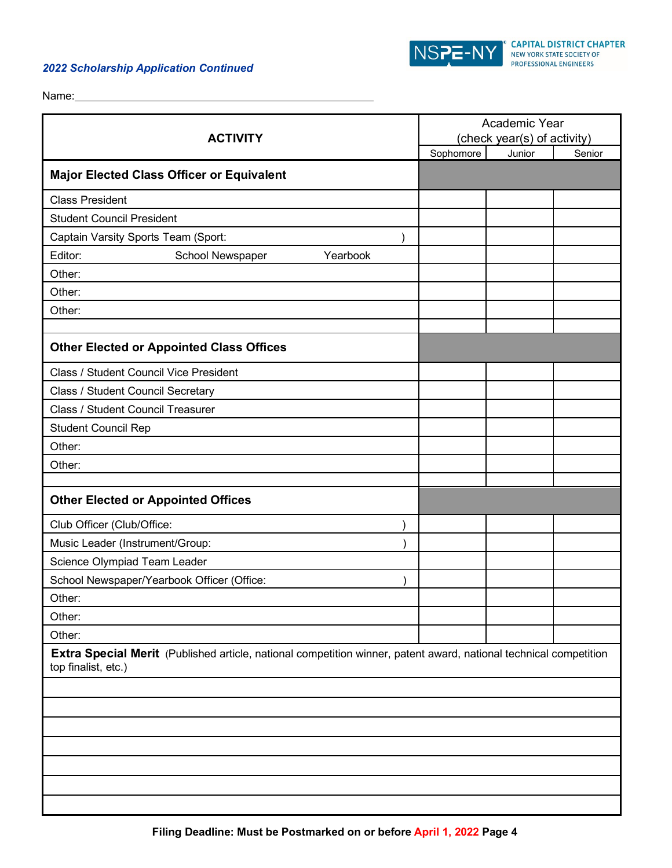#### *2022 Scholarship Application Continued*

<u> 1980 - Johann Barn, mars ann an t-Amhain Aonaich an t-Aonaich an t-Aonaich ann an t-Aonaich ann an t-Aonaich</u>



Name:

| <b>ACTIVITY</b>                                                                                                                          | Academic Year<br>(check year(s) of activity) |        |        |  |
|------------------------------------------------------------------------------------------------------------------------------------------|----------------------------------------------|--------|--------|--|
|                                                                                                                                          | Sophomore                                    | Junior | Senior |  |
| <b>Major Elected Class Officer or Equivalent</b>                                                                                         |                                              |        |        |  |
| <b>Class President</b>                                                                                                                   |                                              |        |        |  |
| <b>Student Council President</b>                                                                                                         |                                              |        |        |  |
| Captain Varsity Sports Team (Sport:                                                                                                      |                                              |        |        |  |
| Editor:<br>Yearbook<br>School Newspaper                                                                                                  |                                              |        |        |  |
| Other:                                                                                                                                   |                                              |        |        |  |
| Other:                                                                                                                                   |                                              |        |        |  |
| Other:                                                                                                                                   |                                              |        |        |  |
|                                                                                                                                          |                                              |        |        |  |
| <b>Other Elected or Appointed Class Offices</b>                                                                                          |                                              |        |        |  |
| Class / Student Council Vice President                                                                                                   |                                              |        |        |  |
| Class / Student Council Secretary                                                                                                        |                                              |        |        |  |
| Class / Student Council Treasurer                                                                                                        |                                              |        |        |  |
| <b>Student Council Rep</b>                                                                                                               |                                              |        |        |  |
| Other:                                                                                                                                   |                                              |        |        |  |
| Other:                                                                                                                                   |                                              |        |        |  |
|                                                                                                                                          |                                              |        |        |  |
| <b>Other Elected or Appointed Offices</b>                                                                                                |                                              |        |        |  |
| Club Officer (Club/Office:                                                                                                               |                                              |        |        |  |
| Music Leader (Instrument/Group:                                                                                                          |                                              |        |        |  |
| Science Olympiad Team Leader                                                                                                             |                                              |        |        |  |
| School Newspaper/Yearbook Officer (Office:                                                                                               |                                              |        |        |  |
| Other:                                                                                                                                   |                                              |        |        |  |
| Other:                                                                                                                                   |                                              |        |        |  |
| Other:                                                                                                                                   |                                              |        |        |  |
| Extra Special Merit (Published article, national competition winner, patent award, national technical competition<br>top finalist, etc.) |                                              |        |        |  |
|                                                                                                                                          |                                              |        |        |  |
|                                                                                                                                          |                                              |        |        |  |
|                                                                                                                                          |                                              |        |        |  |
|                                                                                                                                          |                                              |        |        |  |
|                                                                                                                                          |                                              |        |        |  |
|                                                                                                                                          |                                              |        |        |  |
|                                                                                                                                          |                                              |        |        |  |